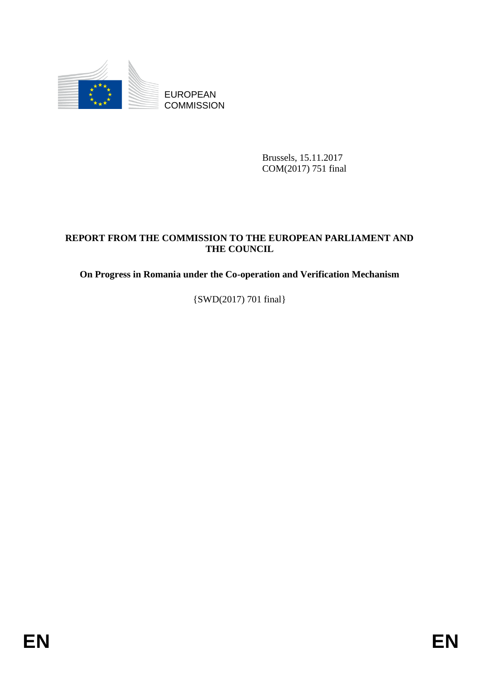

Brussels, 15.11.2017 COM(2017) 751 final

# EUROPEAN<br>
EUROPEAN<br>
ENERGY COMMISSION<br>
Bridge (15.11.2012<br>
COMMISSION<br>
PHE COMMISSION<br> **ENERGY FROM THE COMMISSION TO THE EUROPEAN PARLIAMENT AND**<br> **ENERGY FROM THE COMMISSION TO THE EUROPEAN PARLIAMENT AND**<br>
(SWD/2017) 70 **REPORT FROM THE COMMISSION TO THE EUROPEAN PARLIAMENT AND THE COUNCIL**

**On Progress in Romania under the Co-operation and Verification Mechanism**

{SWD(2017) 701 final}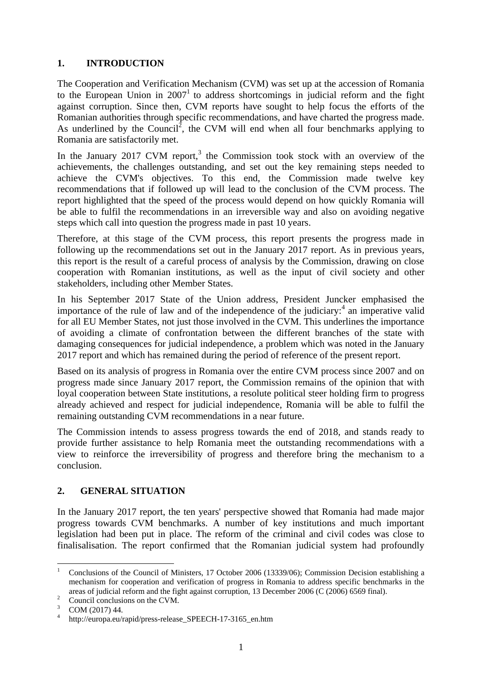# **1. INTRODUCTION**

The Cooperation and Verification Mechanism (CVM) was set up at the accession of Romania to the European Union in  $2007<sup>1</sup>$  to address shortcomings in judicial reform and the fight against corruption. Since then, CVM reports have sought to help focus the efforts of the Romanian authorities through specific recommendations, and have charted the progress made. As underlined by the Council<sup>2</sup>, the CVM will end when all four benchmarks applying to Romania are satisfactorily met.

In the January 2017 CVM report,<sup>3</sup> the Commission took stock with an overview of the achievements, the challenges outstanding, and set out the key remaining steps needed to achieve the CVM's objectives. To this end, the Commission made twelve key recommendations that if followed up will lead to the conclusion of the CVM process. The report highlighted that the speed of the process would depend on how quickly Romania will be able to fulfil the recommendations in an irreversible way and also on avoiding negative steps which call into question the progress made in past 10 years.

Therefore, at this stage of the CVM process, this report presents the progress made in following up the recommendations set out in the January 2017 report. As in previous years, this report is the result of a careful process of analysis by the Commission, drawing on close cooperation with Romanian institutions, as well as the input of civil society and other stakeholders, including other Member States.

In his September 2017 State of the Union address, President Juncker emphasised the importance of the rule of law and of the independence of the judiciary: $4$  an imperative valid for all EU Member States, not just those involved in the CVM. This underlines the importance of avoiding a climate of confrontation between the different branches of the state with damaging consequences for judicial independence, a problem which was noted in the January 2017 report and which has remained during the period of reference of the present report.

Based on its analysis of progress in Romania over the entire CVM process since 2007 and on progress made since January 2017 report, the Commission remains of the opinion that with loyal cooperation between State institutions, a resolute political steer holding firm to progress already achieved and respect for judicial independence, Romania will be able to fulfil the remaining outstanding CVM recommendations in a near future.

The Commission intends to assess progress towards the end of 2018, and stands ready to provide further assistance to help Romania meet the outstanding recommendations with a view to reinforce the irreversibility of progress and therefore bring the mechanism to a conclusion.

# **2. GENERAL SITUATION**

In the January 2017 report, the ten years' perspective showed that Romania had made major progress towards CVM benchmarks. A number of key institutions and much important legislation had been put in place. The reform of the criminal and civil codes was close to finalisalisation. The report confirmed that the Romanian judicial system had profoundly

**.** 

<sup>1</sup> Conclusions of the Council of Ministers, 17 October 2006 (13339/06); Commission Decision establishing a mechanism for cooperation and verification of progress in Romania to address specific benchmarks in the areas of judicial reform and the fight against corruption, 13 December 2006 (C (2006) 6569 final).

 $\frac{2}{3}$  Council conclusions on the CVM.

COM (2017) 44.

<sup>4</sup> http://europa.eu/rapid/press-release\_SPEECH-17-3165\_en.htm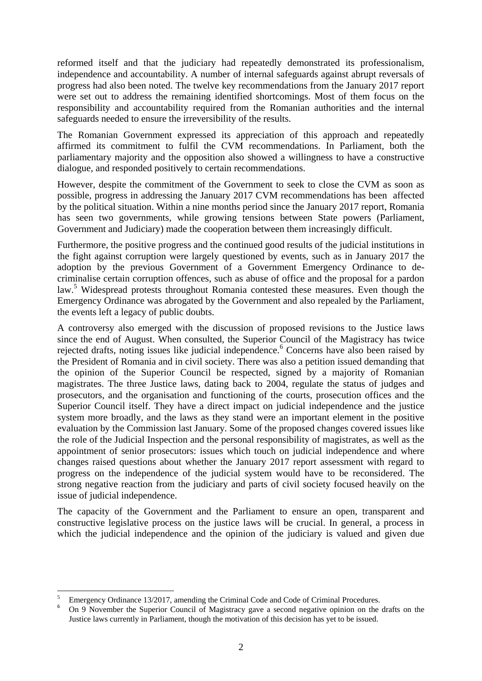reformed itself and that the judiciary had repeatedly demonstrated its professionalism, independence and accountability. A number of internal safeguards against abrupt reversals of progress had also been noted. The twelve key recommendations from the January 2017 report were set out to address the remaining identified shortcomings. Most of them focus on the responsibility and accountability required from the Romanian authorities and the internal safeguards needed to ensure the irreversibility of the results.

The Romanian Government expressed its appreciation of this approach and repeatedly affirmed its commitment to fulfil the CVM recommendations. In Parliament, both the parliamentary majority and the opposition also showed a willingness to have a constructive dialogue, and responded positively to certain recommendations.

However, despite the commitment of the Government to seek to close the CVM as soon as possible, progress in addressing the January 2017 CVM recommendations has been affected by the political situation. Within a nine months period since the January 2017 report, Romania has seen two governments, while growing tensions between State powers (Parliament, Government and Judiciary) made the cooperation between them increasingly difficult.

Furthermore, the positive progress and the continued good results of the judicial institutions in the fight against corruption were largely questioned by events, such as in January 2017 the adoption by the previous Government of a Government Emergency Ordinance to decriminalise certain corruption offences, such as abuse of office and the proposal for a pardon law.<sup>5</sup> Widespread protests throughout Romania contested these measures. Even though the Emergency Ordinance was abrogated by the Government and also repealed by the Parliament, the events left a legacy of public doubts.

A controversy also emerged with the discussion of proposed revisions to the Justice laws since the end of August. When consulted, the Superior Council of the Magistracy has twice rejected drafts, noting issues like judicial independence.<sup>6</sup> Concerns have also been raised by the President of Romania and in civil society. There was also a petition issued demanding that the opinion of the Superior Council be respected, signed by a majority of Romanian magistrates. The three Justice laws, dating back to 2004, regulate the status of judges and prosecutors, and the organisation and functioning of the courts, prosecution offices and the Superior Council itself. They have a direct impact on judicial independence and the justice system more broadly, and the laws as they stand were an important element in the positive evaluation by the Commission last January. Some of the proposed changes covered issues like the role of the Judicial Inspection and the personal responsibility of magistrates, as well as the appointment of senior prosecutors: issues which touch on judicial independence and where changes raised questions about whether the January 2017 report assessment with regard to progress on the independence of the judicial system would have to be reconsidered. The strong negative reaction from the judiciary and parts of civil society focused heavily on the issue of judicial independence.

The capacity of the Government and the Parliament to ensure an open, transparent and constructive legislative process on the justice laws will be crucial. In general, a process in which the judicial independence and the opinion of the judiciary is valued and given due

**.** 

<sup>&</sup>lt;sup>5</sup> Emergency Ordinance 13/2017, amending the Criminal Code and Code of Criminal Procedures.<br><sup>5</sup> On 0 November the Superior Council of Magistraeu gave a second positive entries on the

<sup>6</sup> On 9 November the Superior Council of Magistracy gave a second negative opinion on the drafts on the Justice laws currently in Parliament, though the motivation of this decision has yet to be issued.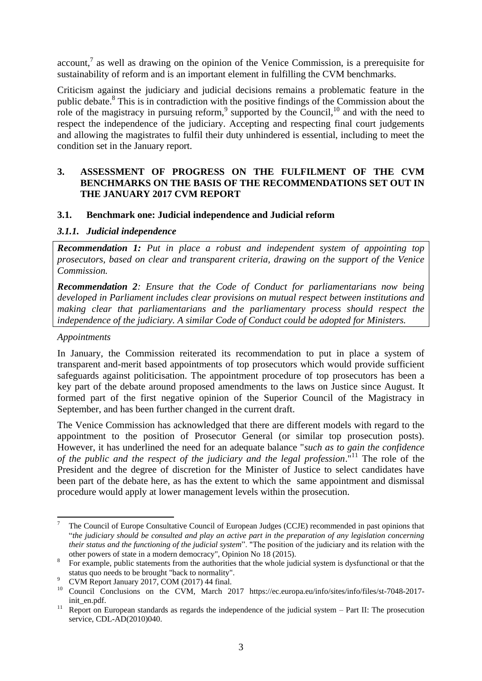$account<sup>7</sup>$  as well as drawing on the opinion of the Venice Commission, is a prerequisite for sustainability of reform and is an important element in fulfilling the CVM benchmarks.

Criticism against the judiciary and judicial decisions remains a problematic feature in the public debate.<sup>8</sup> This is in contradiction with the positive findings of the Commission about the role of the magistracy in pursuing reform,  $9$  supported by the Council,  $10$  and with the need to respect the independence of the judiciary. Accepting and respecting final court judgements and allowing the magistrates to fulfil their duty unhindered is essential, including to meet the condition set in the January report.

### **3. ASSESSMENT OF PROGRESS ON THE FULFILMENT OF THE CVM BENCHMARKS ON THE BASIS OF THE RECOMMENDATIONS SET OUT IN THE JANUARY 2017 CVM REPORT**

### **3.1. Benchmark one: Judicial independence and Judicial reform**

### *3.1.1. Judicial independence*

*Recommendation 1: Put in place a robust and independent system of appointing top prosecutors, based on clear and transparent criteria, drawing on the support of the Venice Commission.* 

*Recommendation 2: Ensure that the Code of Conduct for parliamentarians now being developed in Parliament includes clear provisions on mutual respect between institutions and making clear that parliamentarians and the parliamentary process should respect the independence of the judiciary. A similar Code of Conduct could be adopted for Ministers.*

### *Appointments*

In January, the Commission reiterated its recommendation to put in place a system of transparent and-merit based appointments of top prosecutors which would provide sufficient safeguards against politicisation. The appointment procedure of top prosecutors has been a key part of the debate around proposed amendments to the laws on Justice since August. It formed part of the first negative opinion of the Superior Council of the Magistracy in September, and has been further changed in the current draft.

The Venice Commission has acknowledged that there are different models with regard to the appointment to the position of Prosecutor General (or similar top prosecution posts). However, it has underlined the need for an adequate balance "*such as to gain the confidence of the public and the respect of the judiciary and the legal profession*."<sup>11</sup> The role of the President and the degree of discretion for the Minister of Justice to select candidates have been part of the debate here, as has the extent to which the same appointment and dismissal procedure would apply at lower management levels within the prosecution.

<sup>1</sup> <sup>7</sup> The Council of Europe Consultative Council of European Judges (CCJE) recommended in past opinions that "*the judiciary should be consulted and play an active part in the preparation of any legislation concerning their status and the functioning of the judicial system*". "The position of the judiciary and its relation with the other powers of state in a modern democracy", Opinion No 18 (2015).

<sup>8</sup> For example, public statements from the authorities that the whole judicial system is dysfunctional or that the status quo needs to be brought "back to normality".

CVM Report January 2017, COM (2017) 44 final.

<sup>10</sup> Council Conclusions on the CVM, March 2017 https://ec.europa.eu/info/sites/info/files/st-7048-2017 init\_en.pdf.

<sup>&</sup>lt;sup>11</sup> Report on European standards as regards the independence of the judicial system – Part II: The prosecution service, CDL-AD(2010)040.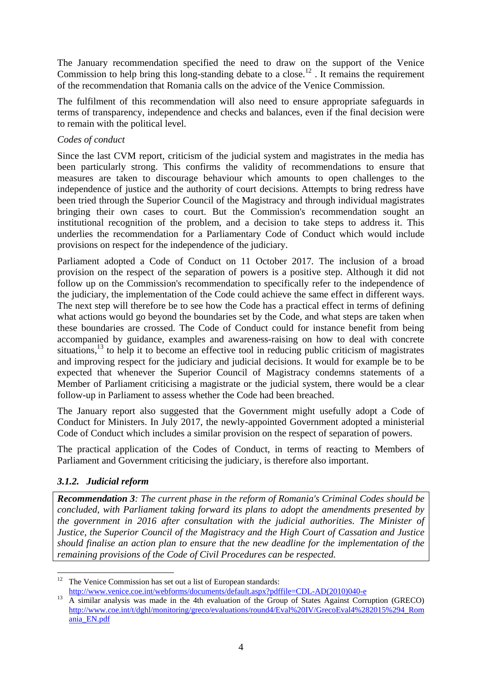The January recommendation specified the need to draw on the support of the Venice Commission to help bring this long-standing debate to a close.<sup>12</sup>. It remains the requirement of the recommendation that Romania calls on the advice of the Venice Commission.

The fulfilment of this recommendation will also need to ensure appropriate safeguards in terms of transparency, independence and checks and balances, even if the final decision were to remain with the political level.

### *Codes of conduct*

Since the last CVM report, criticism of the judicial system and magistrates in the media has been particularly strong. This confirms the validity of recommendations to ensure that measures are taken to discourage behaviour which amounts to open challenges to the independence of justice and the authority of court decisions. Attempts to bring redress have been tried through the Superior Council of the Magistracy and through individual magistrates bringing their own cases to court. But the Commission's recommendation sought an institutional recognition of the problem, and a decision to take steps to address it. This underlies the recommendation for a Parliamentary Code of Conduct which would include provisions on respect for the independence of the judiciary.

Parliament adopted a Code of Conduct on 11 October 2017. The inclusion of a broad provision on the respect of the separation of powers is a positive step. Although it did not follow up on the Commission's recommendation to specifically refer to the independence of the judiciary, the implementation of the Code could achieve the same effect in different ways. The next step will therefore be to see how the Code has a practical effect in terms of defining what actions would go beyond the boundaries set by the Code, and what steps are taken when these boundaries are crossed. The Code of Conduct could for instance benefit from being accompanied by guidance, examples and awareness-raising on how to deal with concrete situations,  $^{13}$  to help it to become an effective tool in reducing public criticism of magistrates and improving respect for the judiciary and judicial decisions. It would for example be to be expected that whenever the Superior Council of Magistracy condemns statements of a Member of Parliament criticising a magistrate or the judicial system, there would be a clear follow-up in Parliament to assess whether the Code had been breached.

The January report also suggested that the Government might usefully adopt a Code of Conduct for Ministers. In July 2017, the newly-appointed Government adopted a ministerial Code of Conduct which includes a similar provision on the respect of separation of powers.

The practical application of the Codes of Conduct, in terms of reacting to Members of Parliament and Government criticising the judiciary, is therefore also important.

## *3.1.2. Judicial reform*

*Recommendation 3: The current phase in the reform of Romania's Criminal Codes should be concluded, with Parliament taking forward its plans to adopt the amendments presented by the government in 2016 after consultation with the judicial authorities. The Minister of Justice, the Superior Council of the Magistracy and the High Court of Cassation and Justice should finalise an action plan to ensure that the new deadline for the implementation of the remaining provisions of the Code of Civil Procedures can be respected.*

<sup>1</sup>  $12$  The Venice Commission has set out a list of European standards: [http://www.venice.coe.int/webforms/documents/default.aspx?pdffile=CDL-AD\(2010\)040-e](http://www.venice.coe.int/webforms/documents/default.aspx?pdffile=CDL-AD(2010)040-e)

<sup>&</sup>lt;sup>13</sup> A similar analysis was made in the 4th evaluation of the Group of States Against Corruption (GRECO) [http://www.coe.int/t/dghl/monitoring/greco/evaluations/round4/Eval%20IV/GrecoEval4%282015%294\\_Rom](http://www.coe.int/t/dghl/monitoring/greco/evaluations/round4/Eval%20IV/GrecoEval4%282015%294_Romania_EN.pdf) [ania\\_EN.pdf](http://www.coe.int/t/dghl/monitoring/greco/evaluations/round4/Eval%20IV/GrecoEval4%282015%294_Romania_EN.pdf)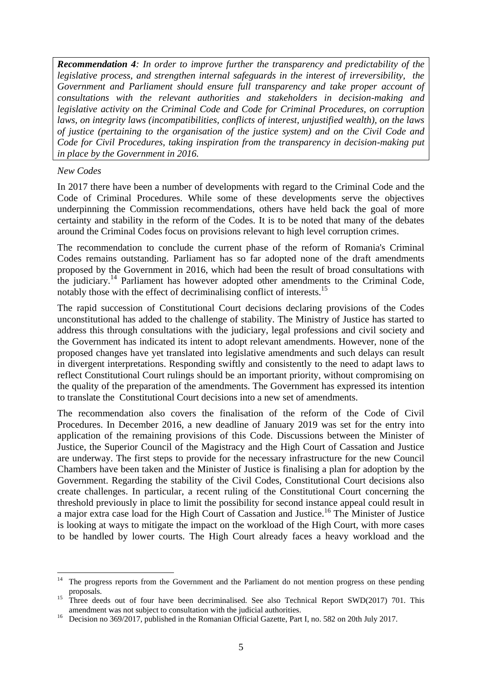*Recommendation 4: In order to improve further the transparency and predictability of the legislative process, and strengthen internal safeguards in the interest of irreversibility, the Government and Parliament should ensure full transparency and take proper account of consultations with the relevant authorities and stakeholders in decision-making and legislative activity on the Criminal Code and Code for Criminal Procedures, on corruption laws, on integrity laws (incompatibilities, conflicts of interest, unjustified wealth), on the laws of justice (pertaining to the organisation of the justice system) and on the Civil Code and Code for Civil Procedures, taking inspiration from the transparency in decision-making put in place by the Government in 2016.*

### *New Codes*

In 2017 there have been a number of developments with regard to the Criminal Code and the Code of Criminal Procedures. While some of these developments serve the objectives underpinning the Commission recommendations, others have held back the goal of more certainty and stability in the reform of the Codes. It is to be noted that many of the debates around the Criminal Codes focus on provisions relevant to high level corruption crimes.

The recommendation to conclude the current phase of the reform of Romania's Criminal Codes remains outstanding. Parliament has so far adopted none of the draft amendments proposed by the Government in 2016, which had been the result of broad consultations with the judiciary.<sup>14</sup> Parliament has however adopted other amendments to the Criminal Code, notably those with the effect of decriminalising conflict of interests.<sup>15</sup>

The rapid succession of Constitutional Court decisions declaring provisions of the Codes unconstitutional has added to the challenge of stability. The Ministry of Justice has started to address this through consultations with the judiciary, legal professions and civil society and the Government has indicated its intent to adopt relevant amendments. However, none of the proposed changes have yet translated into legislative amendments and such delays can result in divergent interpretations. Responding swiftly and consistently to the need to adapt laws to reflect Constitutional Court rulings should be an important priority, without compromising on the quality of the preparation of the amendments. The Government has expressed its intention to translate the Constitutional Court decisions into a new set of amendments.

The recommendation also covers the finalisation of the reform of the Code of Civil Procedures. In December 2016, a new deadline of January 2019 was set for the entry into application of the remaining provisions of this Code. Discussions between the Minister of Justice, the Superior Council of the Magistracy and the High Court of Cassation and Justice are underway. The first steps to provide for the necessary infrastructure for the new Council Chambers have been taken and the Minister of Justice is finalising a plan for adoption by the Government. Regarding the stability of the Civil Codes, Constitutional Court decisions also create challenges. In particular, a recent ruling of the Constitutional Court concerning the threshold previously in place to limit the possibility for second instance appeal could result in a major extra case load for the High Court of Cassation and Justice.<sup>16</sup> The Minister of Justice is looking at ways to mitigate the impact on the workload of the High Court, with more cases to be handled by lower courts. The High Court already faces a heavy workload and the

 $14$ <sup>14</sup> The progress reports from the Government and the Parliament do not mention progress on these pending proposals.

<sup>&</sup>lt;sup>15</sup> Three deeds out of four have been decriminalised. See also Technical Report SWD(2017) 701. This amendment was not subject to consultation with the judicial authorities.

<sup>&</sup>lt;sup>16</sup> Decision no 369/2017, published in the Romanian Official Gazette, Part I, no. 582 on 20th July 2017.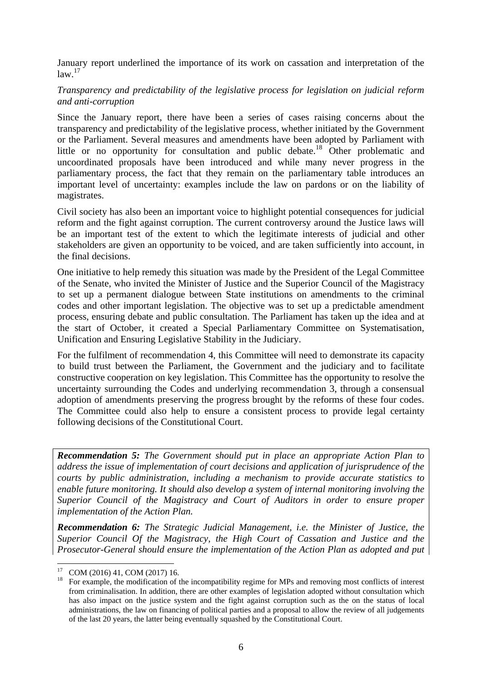January report underlined the importance of its work on cassation and interpretation of the  $law.<sup>17</sup>$ 

### *Transparency and predictability of the legislative process for legislation on judicial reform and anti-corruption*

Since the January report, there have been a series of cases raising concerns about the transparency and predictability of the legislative process, whether initiated by the Government or the Parliament. Several measures and amendments have been adopted by Parliament with little or no opportunity for consultation and public debate.<sup>18</sup> Other problematic and uncoordinated proposals have been introduced and while many never progress in the parliamentary process, the fact that they remain on the parliamentary table introduces an important level of uncertainty: examples include the law on pardons or on the liability of magistrates.

Civil society has also been an important voice to highlight potential consequences for judicial reform and the fight against corruption. The current controversy around the Justice laws will be an important test of the extent to which the legitimate interests of judicial and other stakeholders are given an opportunity to be voiced, and are taken sufficiently into account, in the final decisions.

One initiative to help remedy this situation was made by the President of the Legal Committee of the Senate, who invited the Minister of Justice and the Superior Council of the Magistracy to set up a permanent dialogue between State institutions on amendments to the criminal codes and other important legislation. The objective was to set up a predictable amendment process, ensuring debate and public consultation. The Parliament has taken up the idea and at the start of October, it created a Special Parliamentary Committee on Systematisation, Unification and Ensuring Legislative Stability in the Judiciary.

For the fulfilment of recommendation 4, this Committee will need to demonstrate its capacity to build trust between the Parliament, the Government and the judiciary and to facilitate constructive cooperation on key legislation. This Committee has the opportunity to resolve the uncertainty surrounding the Codes and underlying recommendation 3, through a consensual adoption of amendments preserving the progress brought by the reforms of these four codes. The Committee could also help to ensure a consistent process to provide legal certainty following decisions of the Constitutional Court.

*Recommendation 5: The Government should put in place an appropriate Action Plan to address the issue of implementation of court decisions and application of jurisprudence of the courts by public administration, including a mechanism to provide accurate statistics to enable future monitoring. It should also develop a system of internal monitoring involving the Superior Council of the Magistracy and Court of Auditors in order to ensure proper implementation of the Action Plan.*

*Recommendation 6: The Strategic Judicial Management, i.e. the Minister of Justice, the Superior Council Of the Magistracy, the High Court of Cassation and Justice and the Prosecutor-General should ensure the implementation of the Action Plan as adopted and put* 

**.** 

 $^{17}$  COM (2016) 41, COM (2017) 16.<br><sup>18</sup> For example, the modification of t

<sup>18</sup> For example, the modification of the incompatibility regime for MPs and removing most conflicts of interest from criminalisation. In addition, there are other examples of legislation adopted without consultation which has also impact on the justice system and the fight against corruption such as the on the status of local administrations, the law on financing of political parties and a proposal to allow the review of all judgements of the last 20 years, the latter being eventually squashed by the Constitutional Court.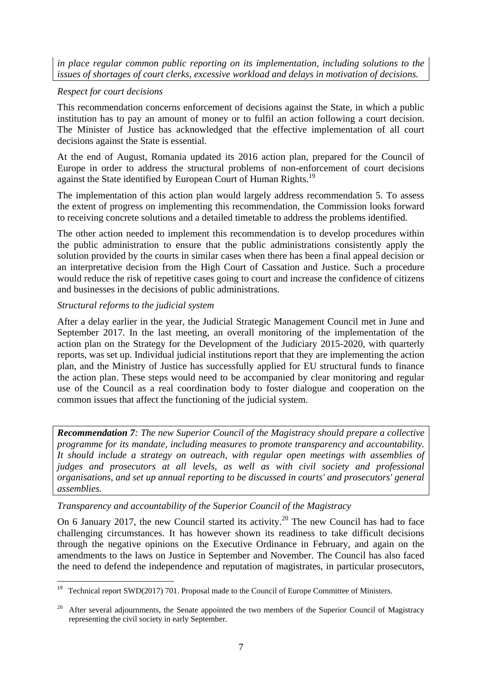*in place regular common public reporting on its implementation, including solutions to the issues of shortages of court clerks, excessive workload and delays in motivation of decisions.*

## *Respect for court decisions*

This recommendation concerns enforcement of decisions against the State, in which a public institution has to pay an amount of money or to fulfil an action following a court decision. The Minister of Justice has acknowledged that the effective implementation of all court decisions against the State is essential.

At the end of August, Romania updated its 2016 action plan, prepared for the Council of Europe in order to address the structural problems of non-enforcement of court decisions against the State identified by European Court of Human Rights.<sup>19</sup>

The implementation of this action plan would largely address recommendation 5. To assess the extent of progress on implementing this recommendation, the Commission looks forward to receiving concrete solutions and a detailed timetable to address the problems identified.

The other action needed to implement this recommendation is to develop procedures within the public administration to ensure that the public administrations consistently apply the solution provided by the courts in similar cases when there has been a final appeal decision or an interpretative decision from the High Court of Cassation and Justice. Such a procedure would reduce the risk of repetitive cases going to court and increase the confidence of citizens and businesses in the decisions of public administrations.

## *Structural reforms to the judicial system*

**.** 

After a delay earlier in the year, the Judicial Strategic Management Council met in June and September 2017. In the last meeting, an overall monitoring of the implementation of the action plan on the Strategy for the Development of the Judiciary 2015-2020, with quarterly reports, was set up. Individual judicial institutions report that they are implementing the action plan, and the Ministry of Justice has successfully applied for EU structural funds to finance the action plan. These steps would need to be accompanied by clear monitoring and regular use of the Council as a real coordination body to foster dialogue and cooperation on the common issues that affect the functioning of the judicial system.

*Recommendation 7: The new Superior Council of the Magistracy should prepare a collective programme for its mandate, including measures to promote transparency and accountability. It should include a strategy on outreach, with regular open meetings with assemblies of judges and prosecutors at all levels, as well as with civil society and professional organisations, and set up annual reporting to be discussed in courts' and prosecutors' general assemblies.*

## *Transparency and accountability of the Superior Council of the Magistracy*

On 6 January 2017, the new Council started its activity.<sup>20</sup> The new Council has had to face challenging circumstances. It has however shown its readiness to take difficult decisions through the negative opinions on the Executive Ordinance in February, and again on the amendments to the laws on Justice in September and November. The Council has also faced the need to defend the independence and reputation of magistrates, in particular prosecutors,

<sup>19</sup> Technical report SWD(2017) 701. Proposal made to the Council of Europe Committee of Ministers.

After several adjournments, the Senate appointed the two members of the Superior Council of Magistracy representing the civil society in early September.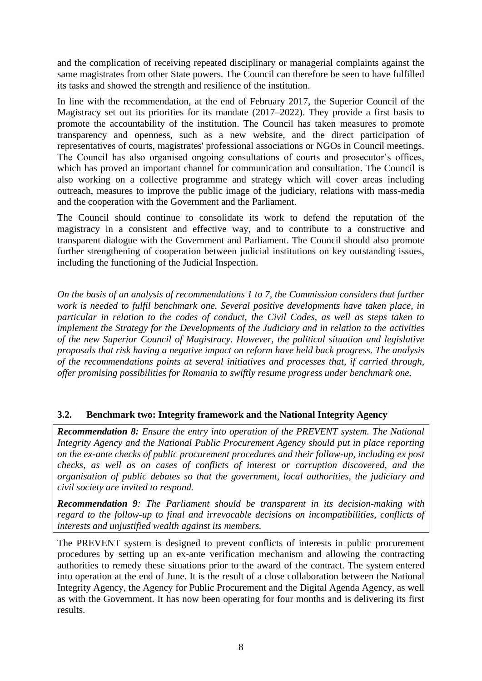and the complication of receiving repeated disciplinary or managerial complaints against the same magistrates from other State powers. The Council can therefore be seen to have fulfilled its tasks and showed the strength and resilience of the institution.

In line with the recommendation, at the end of February 2017, the Superior Council of the Magistracy set out its priorities for its mandate (2017–2022). They provide a first basis to promote the accountability of the institution. The Council has taken measures to promote transparency and openness, such as a new website, and the direct participation of representatives of courts, magistrates' professional associations or NGOs in Council meetings. The Council has also organised ongoing consultations of courts and prosecutor's offices, which has proved an important channel for communication and consultation. The Council is also working on a collective programme and strategy which will cover areas including outreach, measures to improve the public image of the judiciary, relations with mass-media and the cooperation with the Government and the Parliament.

The Council should continue to consolidate its work to defend the reputation of the magistracy in a consistent and effective way, and to contribute to a constructive and transparent dialogue with the Government and Parliament. The Council should also promote further strengthening of cooperation between judicial institutions on key outstanding issues, including the functioning of the Judicial Inspection.

*On the basis of an analysis of recommendations 1 to 7, the Commission considers that further work is needed to fulfil benchmark one. Several positive developments have taken place, in particular in relation to the codes of conduct, the Civil Codes, as well as steps taken to implement the Strategy for the Developments of the Judiciary and in relation to the activities of the new Superior Council of Magistracy. However, the political situation and legislative proposals that risk having a negative impact on reform have held back progress. The analysis of the recommendations points at several initiatives and processes that, if carried through, offer promising possibilities for Romania to swiftly resume progress under benchmark one.* 

# **3.2. Benchmark two: Integrity framework and the National Integrity Agency**

*Recommendation 8: Ensure the entry into operation of the PREVENT system. The National Integrity Agency and the National Public Procurement Agency should put in place reporting on the ex-ante checks of public procurement procedures and their follow-up, including ex post checks, as well as on cases of conflicts of interest or corruption discovered, and the organisation of public debates so that the government, local authorities, the judiciary and civil society are invited to respond.*

*Recommendation 9: The Parliament should be transparent in its decision-making with regard to the follow-up to final and irrevocable decisions on incompatibilities, conflicts of interests and unjustified wealth against its members.*

The PREVENT system is designed to prevent conflicts of interests in public procurement procedures by setting up an ex-ante verification mechanism and allowing the contracting authorities to remedy these situations prior to the award of the contract. The system entered into operation at the end of June. It is the result of a close collaboration between the National Integrity Agency, the Agency for Public Procurement and the Digital Agenda Agency, as well as with the Government. It has now been operating for four months and is delivering its first results.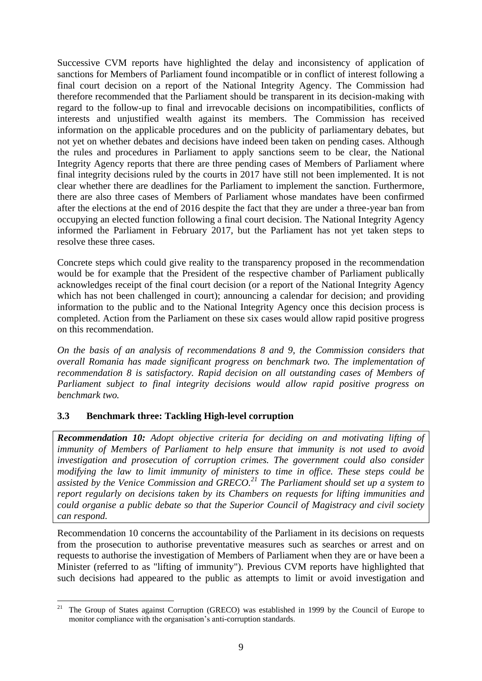Successive CVM reports have highlighted the delay and inconsistency of application of sanctions for Members of Parliament found incompatible or in conflict of interest following a final court decision on a report of the National Integrity Agency. The Commission had therefore recommended that the Parliament should be transparent in its decision-making with regard to the follow-up to final and irrevocable decisions on incompatibilities, conflicts of interests and unjustified wealth against its members. The Commission has received information on the applicable procedures and on the publicity of parliamentary debates, but not yet on whether debates and decisions have indeed been taken on pending cases. Although the rules and procedures in Parliament to apply sanctions seem to be clear, the National Integrity Agency reports that there are three pending cases of Members of Parliament where final integrity decisions ruled by the courts in 2017 have still not been implemented. It is not clear whether there are deadlines for the Parliament to implement the sanction. Furthermore, there are also three cases of Members of Parliament whose mandates have been confirmed after the elections at the end of 2016 despite the fact that they are under a three-year ban from occupying an elected function following a final court decision. The National Integrity Agency informed the Parliament in February 2017, but the Parliament has not yet taken steps to resolve these three cases.

Concrete steps which could give reality to the transparency proposed in the recommendation would be for example that the President of the respective chamber of Parliament publically acknowledges receipt of the final court decision (or a report of the National Integrity Agency which has not been challenged in court); announcing a calendar for decision; and providing information to the public and to the National Integrity Agency once this decision process is completed. Action from the Parliament on these six cases would allow rapid positive progress on this recommendation.

*On the basis of an analysis of recommendations 8 and 9, the Commission considers that overall Romania has made significant progress on benchmark two. The implementation of recommendation 8 is satisfactory. Rapid decision on all outstanding cases of Members of Parliament subject to final integrity decisions would allow rapid positive progress on benchmark two.*

# **3.3 Benchmark three: Tackling High-level corruption**

*Recommendation 10: Adopt objective criteria for deciding on and motivating lifting of immunity of Members of Parliament to help ensure that immunity is not used to avoid investigation and prosecution of corruption crimes. The government could also consider modifying the law to limit immunity of ministers to time in office. These steps could be assisted by the Venice Commission and GRECO.<sup>21</sup> The Parliament should set up a system to report regularly on decisions taken by its Chambers on requests for lifting immunities and could organise a public debate so that the Superior Council of Magistracy and civil society can respond.*

Recommendation 10 concerns the accountability of the Parliament in its decisions on requests from the prosecution to authorise preventative measures such as searches or arrest and on requests to authorise the investigation of Members of Parliament when they are or have been a Minister (referred to as "lifting of immunity"). Previous CVM reports have highlighted that such decisions had appeared to the public as attempts to limit or avoid investigation and

 $21$ <sup>21</sup> The Group of States against Corruption (GRECO) was established in 1999 by the Council of Europe to monitor compliance with the organisation's anti-corruption standards.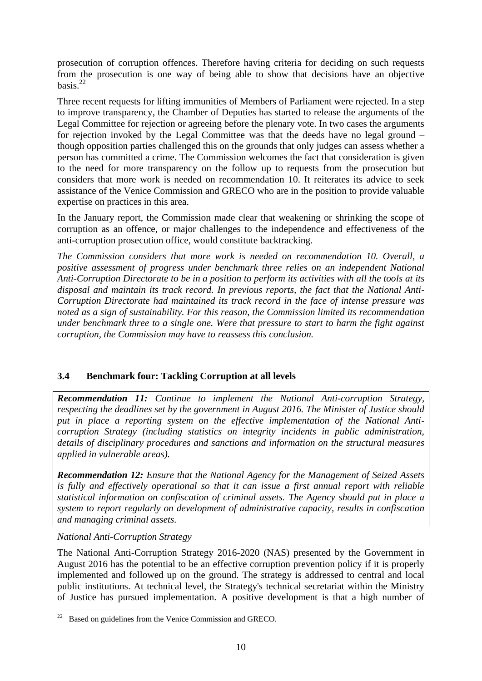prosecution of corruption offences. Therefore having criteria for deciding on such requests from the prosecution is one way of being able to show that decisions have an objective basis. $^{22}$ 

Three recent requests for lifting immunities of Members of Parliament were rejected. In a step to improve transparency, the Chamber of Deputies has started to release the arguments of the Legal Committee for rejection or agreeing before the plenary vote. In two cases the arguments for rejection invoked by the Legal Committee was that the deeds have no legal ground – though opposition parties challenged this on the grounds that only judges can assess whether a person has committed a crime. The Commission welcomes the fact that consideration is given to the need for more transparency on the follow up to requests from the prosecution but considers that more work is needed on recommendation 10. It reiterates its advice to seek assistance of the Venice Commission and GRECO who are in the position to provide valuable expertise on practices in this area.

In the January report, the Commission made clear that weakening or shrinking the scope of corruption as an offence, or major challenges to the independence and effectiveness of the anti-corruption prosecution office, would constitute backtracking.

*The Commission considers that more work is needed on recommendation 10. Overall, a positive assessment of progress under benchmark three relies on an independent National Anti-Corruption Directorate to be in a position to perform its activities with all the tools at its disposal and maintain its track record. In previous reports, the fact that the National Anti-Corruption Directorate had maintained its track record in the face of intense pressure was noted as a sign of sustainability. For this reason, the Commission limited its recommendation under benchmark three to a single one. Were that pressure to start to harm the fight against corruption, the Commission may have to reassess this conclusion.*

## **3.4 Benchmark four: Tackling Corruption at all levels**

*Recommendation 11: Continue to implement the National Anti-corruption Strategy, respecting the deadlines set by the government in August 2016. The Minister of Justice should put in place a reporting system on the effective implementation of the National Anticorruption Strategy (including statistics on integrity incidents in public administration, details of disciplinary procedures and sanctions and information on the structural measures applied in vulnerable areas).*

*Recommendation 12: Ensure that the National Agency for the Management of Seized Assets is fully and effectively operational so that it can issue a first annual report with reliable statistical information on confiscation of criminal assets. The Agency should put in place a system to report regularly on development of administrative capacity, results in confiscation and managing criminal assets.*

## *National Anti-Corruption Strategy*

The National Anti-Corruption Strategy 2016-2020 (NAS) presented by the Government in August 2016 has the potential to be an effective corruption prevention policy if it is properly implemented and followed up on the ground. The strategy is addressed to central and local public institutions. At technical level, the Strategy's technical secretariat within the Ministry of Justice has pursued implementation. A positive development is that a high number of

**<sup>.</sup>** Based on guidelines from the Venice Commission and GRECO.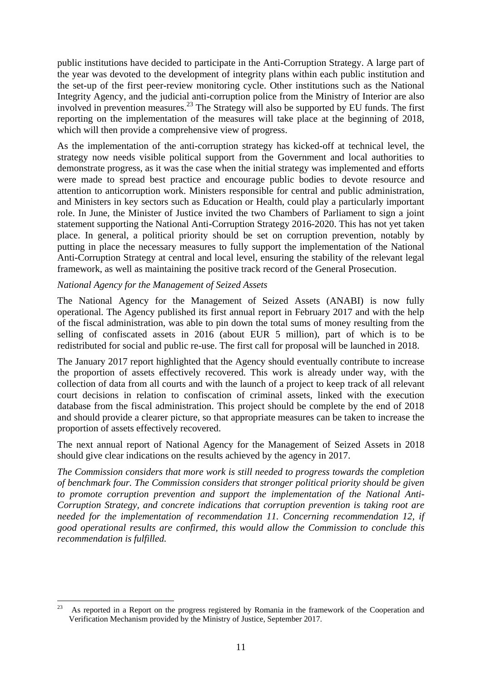public institutions have decided to participate in the Anti-Corruption Strategy. A large part of the year was devoted to the development of integrity plans within each public institution and the set-up of the first peer-review monitoring cycle. Other institutions such as the National Integrity Agency, and the judicial anti-corruption police from the Ministry of Interior are also involved in prevention measures.<sup>23</sup> The Strategy will also be supported by EU funds. The first reporting on the implementation of the measures will take place at the beginning of 2018, which will then provide a comprehensive view of progress.

As the implementation of the anti-corruption strategy has kicked-off at technical level, the strategy now needs visible political support from the Government and local authorities to demonstrate progress, as it was the case when the initial strategy was implemented and efforts were made to spread best practice and encourage public bodies to devote resource and attention to anticorruption work. Ministers responsible for central and public administration, and Ministers in key sectors such as Education or Health, could play a particularly important role. In June, the Minister of Justice invited the two Chambers of Parliament to sign a joint statement supporting the National Anti-Corruption Strategy 2016-2020. This has not yet taken place. In general, a political priority should be set on corruption prevention, notably by putting in place the necessary measures to fully support the implementation of the National Anti-Corruption Strategy at central and local level, ensuring the stability of the relevant legal framework, as well as maintaining the positive track record of the General Prosecution.

## *National Agency for the Management of Seized Assets*

The National Agency for the Management of Seized Assets (ANABI) is now fully operational. The Agency published its first annual report in February 2017 and with the help of the fiscal administration, was able to pin down the total sums of money resulting from the selling of confiscated assets in 2016 (about EUR 5 million), part of which is to be redistributed for social and public re-use. The first call for proposal will be launched in 2018.

The January 2017 report highlighted that the Agency should eventually contribute to increase the proportion of assets effectively recovered. This work is already under way, with the collection of data from all courts and with the launch of a project to keep track of all relevant court decisions in relation to confiscation of criminal assets, linked with the execution database from the fiscal administration. This project should be complete by the end of 2018 and should provide a clearer picture, so that appropriate measures can be taken to increase the proportion of assets effectively recovered.

The next annual report of National Agency for the Management of Seized Assets in 2018 should give clear indications on the results achieved by the agency in 2017.

*The Commission considers that more work is still needed to progress towards the completion of benchmark four. The Commission considers that stronger political priority should be given to promote corruption prevention and support the implementation of the National Anti-Corruption Strategy, and concrete indications that corruption prevention is taking root are needed for the implementation of recommendation 11. Concerning recommendation 12, if good operational results are confirmed, this would allow the Commission to conclude this recommendation is fulfilled.*

 $\frac{1}{23}$  As reported in a Report on the progress registered by Romania in the framework of the Cooperation and Verification Mechanism provided by the Ministry of Justice, September 2017.